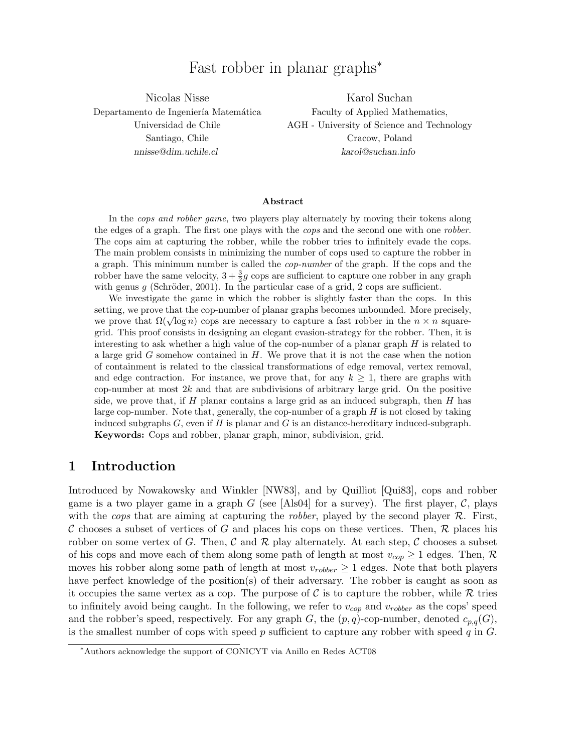# Fast robber in planar graphs<sup>∗</sup>

Nicolas Nisse Departamento de Ingeniería Matemática Universidad de Chile Santiago, Chile nnisse@dim.uchile.cl

Karol Suchan Faculty of Applied Mathematics, AGH - University of Science and Technology Cracow, Poland karol@suchan.info

#### Abstract

In the cops and robber game, two players play alternately by moving their tokens along the edges of a graph. The first one plays with the *cops* and the second one with one *robber*. The cops aim at capturing the robber, while the robber tries to infinitely evade the cops. The main problem consists in minimizing the number of cops used to capture the robber in a graph. This minimum number is called the cop-number of the graph. If the cops and the robber have the same velocity,  $3 + \frac{3}{2}g$  cops are sufficient to capture one robber in any graph with genus  $g$  (Schröder, 2001). In the particular case of a grid, 2 cops are sufficient.

We investigate the game in which the robber is slightly faster than the cops. In this setting, we prove that the cop-number of planar graphs becomes unbounded. More precisely, we prove that  $\Omega(\sqrt{\log n})$  cops are necessary to capture a fast robber in the  $n \times n$  squaregrid. This proof consists in designing an elegant evasion-strategy for the robber. Then, it is interesting to ask whether a high value of the cop-number of a planar graph  $H$  is related to a large grid  $G$  somehow contained in  $H$ . We prove that it is not the case when the notion of containment is related to the classical transformations of edge removal, vertex removal, and edge contraction. For instance, we prove that, for any  $k \geq 1$ , there are graphs with cop-number at most  $2k$  and that are subdivisions of arbitrary large grid. On the positive side, we prove that, if  $H$  planar contains a large grid as an induced subgraph, then  $H$  has large cop-number. Note that, generally, the cop-number of a graph H is not closed by taking induced subgraphs  $G$ , even if  $H$  is planar and  $G$  is an distance-hereditary induced-subgraph. Keywords: Cops and robber, planar graph, minor, subdivision, grid.

# 1 Introduction

Introduced by Nowakowsky and Winkler [NW83], and by Quilliot [Qui83], cops and robber game is a two player game in a graph G (see [Als04] for a survey). The first player, C, plays with the *cops* that are aiming at capturing the *robber*, played by the second player  $\mathcal{R}$ . First, C chooses a subset of vertices of G and places his cops on these vertices. Then, R places his robber on some vertex of G. Then, C and R play alternately. At each step, C chooses a subset of his cops and move each of them along some path of length at most  $v_{cop} \geq 1$  edges. Then,  $\mathcal{R}$ moves his robber along some path of length at most  $v_{robber} \geq 1$  edges. Note that both players have perfect knowledge of the position(s) of their adversary. The robber is caught as soon as it occupies the same vertex as a cop. The purpose of  $\mathcal C$  is to capture the robber, while  $\mathcal R$  tries to infinitely avoid being caught. In the following, we refer to  $v_{cop}$  and  $v_{robber}$  as the cops' speed and the robber's speed, respectively. For any graph G, the  $(p, q)$ -cop-number, denoted  $c_{p,q}(G)$ , is the smallest number of cops with speed p sufficient to capture any robber with speed q in  $G$ .

<sup>∗</sup>Authors acknowledge the support of CONICYT via Anillo en Redes ACT08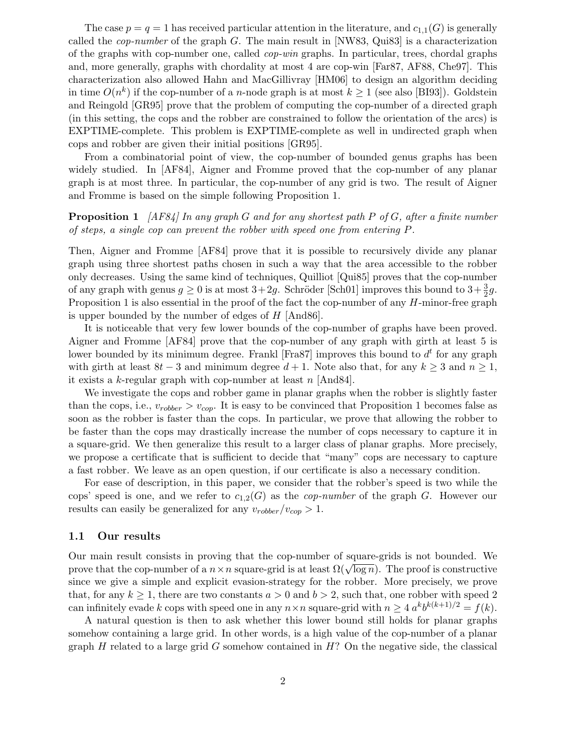The case  $p = q = 1$  has received particular attention in the literature, and  $c_{1,1}(G)$  is generally called the cop-number of the graph G. The main result in [NW83, Qui83] is a characterization of the graphs with cop-number one, called cop-win graphs. In particular, trees, chordal graphs and, more generally, graphs with chordality at most 4 are cop-win [Far87, AF88, Che97]. This characterization also allowed Hahn and MacGillivray [HM06] to design an algorithm deciding in time  $O(n^k)$  if the cop-number of a *n*-node graph is at most  $k \ge 1$  (see also [BI93]). Goldstein and Reingold [GR95] prove that the problem of computing the cop-number of a directed graph (in this setting, the cops and the robber are constrained to follow the orientation of the arcs) is EXPTIME-complete. This problem is EXPTIME-complete as well in undirected graph when cops and robber are given their initial positions [GR95].

From a combinatorial point of view, the cop-number of bounded genus graphs has been widely studied. In [AF84], Aigner and Fromme proved that the cop-number of any planar graph is at most three. In particular, the cop-number of any grid is two. The result of Aigner and Fromme is based on the simple following Proposition 1.

### **Proposition 1** [AF84] In any graph G and for any shortest path P of G, after a finite number of steps, a single cop can prevent the robber with speed one from entering P.

Then, Aigner and Fromme [AF84] prove that it is possible to recursively divide any planar graph using three shortest paths chosen in such a way that the area accessible to the robber only decreases. Using the same kind of techniques, Quilliot [Qui85] proves that the cop-number of any graph with genus  $g \ge 0$  is at most  $3+2g$ . Schröder [Sch01] improves this bound to  $3+\frac{3}{2}g$ . Proposition 1 is also essential in the proof of the fact the cop-number of any  $H$ -minor-free graph is upper bounded by the number of edges of H [And86].

It is noticeable that very few lower bounds of the cop-number of graphs have been proved. Aigner and Fromme [AF84] prove that the cop-number of any graph with girth at least 5 is lower bounded by its minimum degree. Frankl [Fra87] improves this bound to  $d<sup>t</sup>$  for any graph with girth at least  $8t - 3$  and minimum degree  $d + 1$ . Note also that, for any  $k \geq 3$  and  $n \geq 1$ , it exists a k-regular graph with cop-number at least  $n$  [And84].

We investigate the cops and robber game in planar graphs when the robber is slightly faster than the cops, i.e.,  $v_{roober} > v_{cop}$ . It is easy to be convinced that Proposition 1 becomes false as soon as the robber is faster than the cops. In particular, we prove that allowing the robber to be faster than the cops may drastically increase the number of cops necessary to capture it in a square-grid. We then generalize this result to a larger class of planar graphs. More precisely, we propose a certificate that is sufficient to decide that "many" cops are necessary to capture a fast robber. We leave as an open question, if our certificate is also a necessary condition.

For ease of description, in this paper, we consider that the robber's speed is two while the cops' speed is one, and we refer to  $c_{1,2}(G)$  as the *cop-number* of the graph G. However our results can easily be generalized for any  $v_{roober}/v_{cop} > 1$ .

#### 1.1 Our results

Our main result consists in proving that the cop-number of square-grids is not bounded. We prove that the cop-number of a  $n \times n$  square-grid is at least  $\Omega(\sqrt{\log n})$ . The proof is constructive since we give a simple and explicit evasion-strategy for the robber. More precisely, we prove that, for any  $k \ge 1$ , there are two constants  $a > 0$  and  $b > 2$ , such that, one robber with speed 2 can infinitely evade k cops with speed one in any  $n \times n$  square-grid with  $n \geq 4 a^k b^{k(k+1)/2} = f(k)$ .

A natural question is then to ask whether this lower bound still holds for planar graphs somehow containing a large grid. In other words, is a high value of the cop-number of a planar graph H related to a large grid G somehow contained in  $H$ ? On the negative side, the classical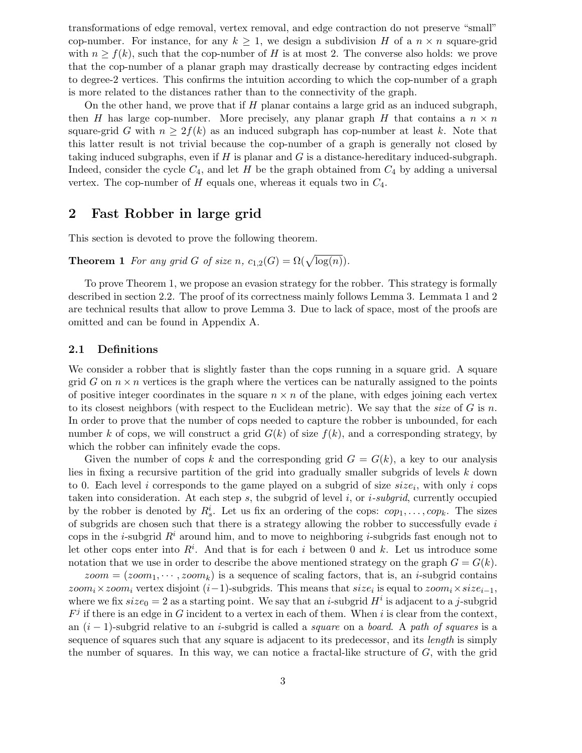transformations of edge removal, vertex removal, and edge contraction do not preserve "small" cop-number. For instance, for any  $k \geq 1$ , we design a subdivision H of a  $n \times n$  square-grid with  $n \ge f(k)$ , such that the cop-number of H is at most 2. The converse also holds: we prove that the cop-number of a planar graph may drastically decrease by contracting edges incident to degree-2 vertices. This confirms the intuition according to which the cop-number of a graph is more related to the distances rather than to the connectivity of the graph.

On the other hand, we prove that if  $H$  planar contains a large grid as an induced subgraph, then H has large cop-number. More precisely, any planar graph H that contains a  $n \times n$ square-grid G with  $n \geq 2f(k)$  as an induced subgraph has cop-number at least k. Note that this latter result is not trivial because the cop-number of a graph is generally not closed by taking induced subgraphs, even if  $H$  is planar and  $G$  is a distance-hereditary induced-subgraph. Indeed, consider the cycle  $C_4$ , and let H be the graph obtained from  $C_4$  by adding a universal vertex. The cop-number of  $H$  equals one, whereas it equals two in  $C_4$ .

# 2 Fast Robber in large grid

This section is devoted to prove the following theorem.

**Theorem 1** For any grid G of size n,  $c_{1,2}(G) = \Omega(\sqrt{\log(n)})$ .

To prove Theorem 1, we propose an evasion strategy for the robber. This strategy is formally described in section 2.2. The proof of its correctness mainly follows Lemma 3. Lemmata 1 and 2 are technical results that allow to prove Lemma 3. Due to lack of space, most of the proofs are omitted and can be found in Appendix A.

### 2.1 Definitions

We consider a robber that is slightly faster than the cops running in a square grid. A square grid G on  $n \times n$  vertices is the graph where the vertices can be naturally assigned to the points of positive integer coordinates in the square  $n \times n$  of the plane, with edges joining each vertex to its closest neighbors (with respect to the Euclidean metric). We say that the size of  $G$  is n. In order to prove that the number of cops needed to capture the robber is unbounded, for each number k of cops, we will construct a grid  $G(k)$  of size  $f(k)$ , and a corresponding strategy, by which the robber can infinitely evade the cops.

Given the number of cops k and the corresponding grid  $G = G(k)$ , a key to our analysis lies in fixing a recursive partition of the grid into gradually smaller subgrids of levels k down to 0. Each level i corresponds to the game played on a subgrid of size  $size_i$ , with only i cops taken into consideration. At each step s, the subgrid of level i, or i-subgrid, currently occupied by the robber is denoted by  $R_s^i$ . Let us fix an ordering of the cops:  $cop_1, \ldots, cop_k$ . The sizes of subgrids are chosen such that there is a strategy allowing the robber to successfully evade  $i$ cops in the *i*-subgrid  $R<sup>i</sup>$  around him, and to move to neighboring *i*-subgrids fast enough not to let other cops enter into  $R^i$ . And that is for each i between 0 and k. Let us introduce some notation that we use in order to describe the above mentioned strategy on the graph  $G = G(k)$ .

 $zoom = (zoom_1, \dots, zoom_k)$  is a sequence of scaling factors, that is, an *i*-subgrid contains  $zoom_i \times zoom_i$  vertex disjoint  $(i-1)$ -subgrids. This means that  $size_i$  is equal to  $zoom_i \times size_{i-1}$ , where we fix  $size_0 = 2$  as a starting point. We say that an *i*-subgrid  $H^i$  is adjacent to a *j*-subgrid  $F^j$  if there is an edge in G incident to a vertex in each of them. When i is clear from the context, an  $(i - 1)$ -subgrid relative to an i-subgrid is called a *square* on a *board*. A path of squares is a sequence of squares such that any square is adjacent to its predecessor, and its *length* is simply the number of squares. In this way, we can notice a fractal-like structure of  $G$ , with the grid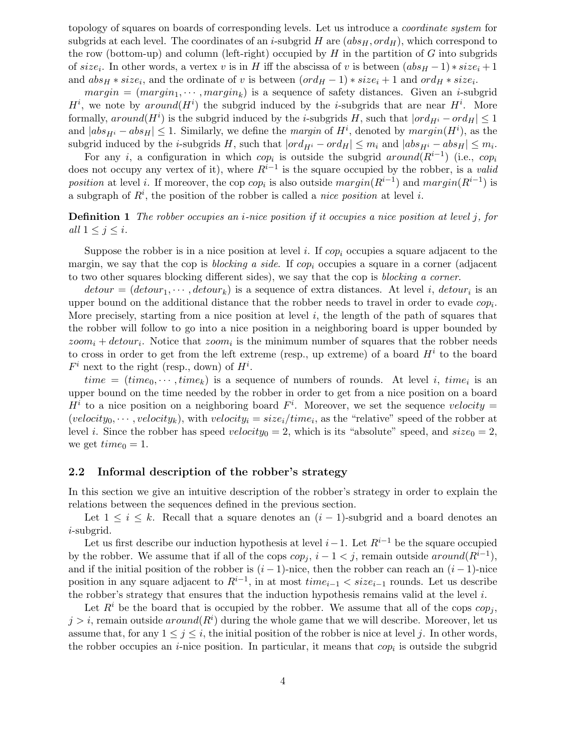topology of squares on boards of corresponding levels. Let us introduce a coordinate system for subgrids at each level. The coordinates of an *i*-subgrid H are  $(abs_H, ord_H)$ , which correspond to the row (bottom-up) and column (left-right) occupied by  $H$  in the partition of  $G$  into subgrids of  $size_i$ . In other words, a vertex v is in H iff the abscissa of v is between  $(abs_H - 1) * size_i + 1$ and  $abs_H * size_i$ , and the ordinate of v is between  $(ord_H - 1) * size_i + 1$  and  $ord_H * size_i$ .

 $margin = (margin_1, \dots, margin_k)$  is a sequence of safety distances. Given an *i*-subgrid  $H^i$ , we note by around  $(H^i)$  the subgrid induced by the *i*-subgrids that are near  $H^i$ . More formally,  $around(H<sup>i</sup>)$  is the subgrid induced by the *i*-subgrids H, such that  $|ord_{H<sup>i</sup>} - ord_H| \leq 1$ and  $|abs_{H^i} - abs_H| \leq 1$ . Similarly, we define the *margin* of  $H^i$ , denoted by  $margin(H^i)$ , as the subgrid induced by the *i*-subgrids H, such that  $|ord_{H^i} - ord_H| \le m_i$  and  $|abs_{H^i} - abs_H| \le m_i$ .

For any i, a configuration in which  $cop_i$  is outside the subgrid around  $(R^{i-1})$  (i.e.,  $cop_i$ does not occupy any vertex of it), where  $R^{i-1}$  is the square occupied by the robber, is a valid position at level i. If moreover, the cop  $cop_i$  is also outside  $margin(R^{i-1})$  and  $margin(R^{i-1})$  is a subgraph of  $R^i$ , the position of the robber is called a *nice position* at level i.

**Definition 1** The robber occupies an *i*-nice position if it occupies a nice position at level j, for all  $1 \leq j \leq i$ .

Suppose the robber is in a nice position at level i. If  $cop_i$  occupies a square adjacent to the margin, we say that the cop is *blocking a side*. If  $cop_i$  occupies a square in a corner (adjacent to two other squares blocking different sides), we say that the cop is blocking a corner.

 $detour = (detour_1, \dots, detour_k)$  is a sequence of extra distances. At level *i*,  $detour_i$  is an upper bound on the additional distance that the robber needs to travel in order to evade  $cop_i$ . More precisely, starting from a nice position at level  $i$ , the length of the path of squares that the robber will follow to go into a nice position in a neighboring board is upper bounded by  $zoom_i + detour_i$ . Notice that  $zoom_i$  is the minimum number of squares that the robber needs to cross in order to get from the left extreme (resp., up extreme) of a board  $H<sup>i</sup>$  to the board  $F^i$  next to the right (resp., down) of  $H^i$ .

 $time = (time_0, \dots, time_k)$  is a sequence of numbers of rounds. At level i,  $time_i$  is an upper bound on the time needed by the robber in order to get from a nice position on a board  $H^i$  to a nice position on a neighboring board  $F^i$ . Moreover, we set the sequence velocity =  $(velocity_0, \dots, velocity_k)$ , with  $velocity_i = size_i / time_i$ , as the "relative" speed of the robber at level *i*. Since the robber has speed velocity<sub>0</sub> = 2, which is its "absolute" speed, and  $size_0 = 2$ , we get  $time_0 = 1$ .

#### 2.2 Informal description of the robber's strategy

In this section we give an intuitive description of the robber's strategy in order to explain the relations between the sequences defined in the previous section.

Let  $1 \leq i \leq k$ . Recall that a square denotes an  $(i-1)$ -subgrid and a board denotes an i-subgrid.

Let us first describe our induction hypothesis at level  $i-1$ . Let  $R^{i-1}$  be the square occupied by the robber. We assume that if all of the cops  $cop_j$ ,  $i - 1 < j$ , remain outside  $around(R^{i-1})$ , and if the initial position of the robber is  $(i - 1)$ -nice, then the robber can reach an  $(i - 1)$ -nice position in any square adjacent to  $R^{i-1}$ , in at most  $time_{i-1} < size_{i-1}$  rounds. Let us describe the robber's strategy that ensures that the induction hypothesis remains valid at the level  $i$ .

Let  $R<sup>i</sup>$  be the board that is occupied by the robber. We assume that all of the cops  $cop_i$ ,  $j > i$ , remain outside  $around(R<sup>i</sup>)$  during the whole game that we will describe. Moreover, let us assume that, for any  $1 \leq j \leq i$ , the initial position of the robber is nice at level j. In other words, the robber occupies an *i*-nice position. In particular, it means that  $cop_i$  is outside the subgrid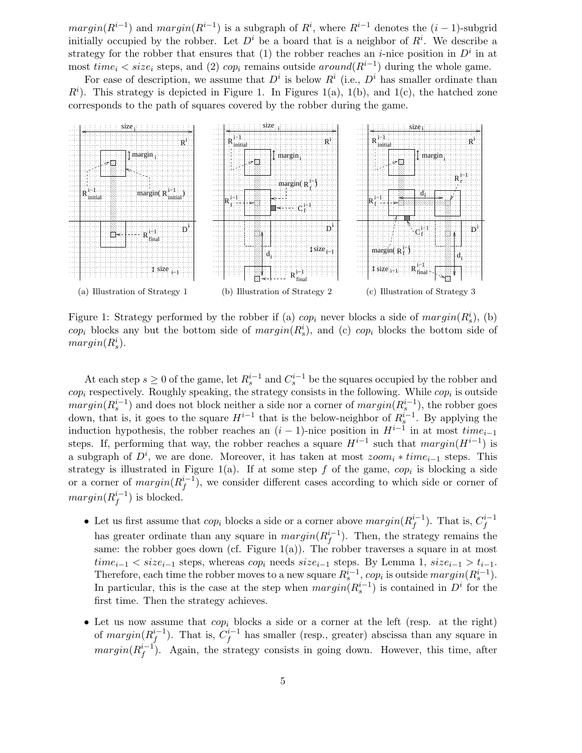$margin(R^{i-1})$  and  $margin(R^{i-1})$  is a subgraph of  $R^i$ , where  $R^{i-1}$  denotes the  $(i-1)$ -subgrid initially occupied by the robber. Let  $D^i$  be a board that is a neighbor of  $R^i$ . We describe a strategy for the robber that ensures that (1) the robber reaches an *i*-nice position in  $D^i$  in at most  $time_i < size_i$  steps, and (2)  $cop_i$  remains outside  $around(R^{i-1})$  during the whole game.

For ease of description, we assume that  $D^i$  is below  $R^i$  (i.e.,  $D^i$  has smaller ordinate than  $R<sup>i</sup>$ ). This strategy is depicted in Figure 1. In Figures 1(a), 1(b), and 1(c), the hatched zone corresponds to the path of squares covered by the robber during the game.



Figure 1: Strategy performed by the robber if (a)  $cop_i$  never blocks a side of  $margin(R_s^i)$ , (b)  $cop_i$  blocks any but the bottom side of  $margin(R_s^i)$ , and (c)  $cop_i$  blocks the bottom side of  $margin(R_s^i)$ .

At each step  $s \geq 0$  of the game, let  $R_s^{i-1}$  and  $C_s^{i-1}$  be the squares occupied by the robber and  $cop_i$  respectively. Roughly speaking, the strategy consists in the following. While  $cop_i$  is outside  $margin(R_s^{i-1})$  and does not block neither a side nor a corner of  $margin(R_s^{i-1})$ , the robber goes down, that is, it goes to the square  $H^{i-1}$  that is the below-neighbor of  $R_s^{i-1}$ . By applying the induction hypothesis, the robber reaches an  $(i-1)$ -nice position in  $H^{i-1}$  in at most  $time_{i-1}$ steps. If, performing that way, the robber reaches a square  $H^{i-1}$  such that  $margin(H^{i-1})$  is a subgraph of  $D^i$ , we are done. Moreover, it has taken at most  $zoom_i * time_{i-1}$  steps. This strategy is illustrated in Figure 1(a). If at some step f of the game,  $cop_i$  is blocking a side or a corner of  $margin(R_f^{i-1})$  $f^{i-1}_{f}$ ), we consider different cases according to which side or corner of  $margin(R_f^{i-1}$  $j^{i-1}$ ) is blocked.

- Let us first assume that  $cop_i$  blocks a side or a corner above  $margin(R_f^{i-1})$  $j_f^{i-1}$ ). That is,  $C_f^{i-1}$ f has greater ordinate than any square in  $margin(R_f^{i-1})$  $_{f}^{i-1}$ ). Then, the strategy remains the same: the robber goes down (cf. Figure  $1(a)$ ). The robber traverses a square in at most  $time_{i-1} < size_{i-1}$  steps, whereas  $cop_i$  needs  $size_{i-1}$  steps. By Lemma 1,  $size_{i-1} > t_{i-1}$ . Therefore, each time the robber moves to a new square  $R_s^{i-1}$ , cop<sub>i</sub> is outside  $margin(R_s^{i-1})$ . In particular, this is the case at the step when  $margin(R_s^{i-1})$  is contained in  $D<sup>i</sup>$  for the first time. Then the strategy achieves.
- Let us now assume that  $cop_i$  blocks a side or a corner at the left (resp. at the right) of  $margin(R_f^{i-1})$  $j_f^{i-1}$ ). That is,  $C_f^{i-1}$  $f_f^{n-1}$  has smaller (resp., greater) abscissa than any square in  $margin(R_f^{i-1})$  $f_f^{i-1}$ ). Again, the strategy consists in going down. However, this time, after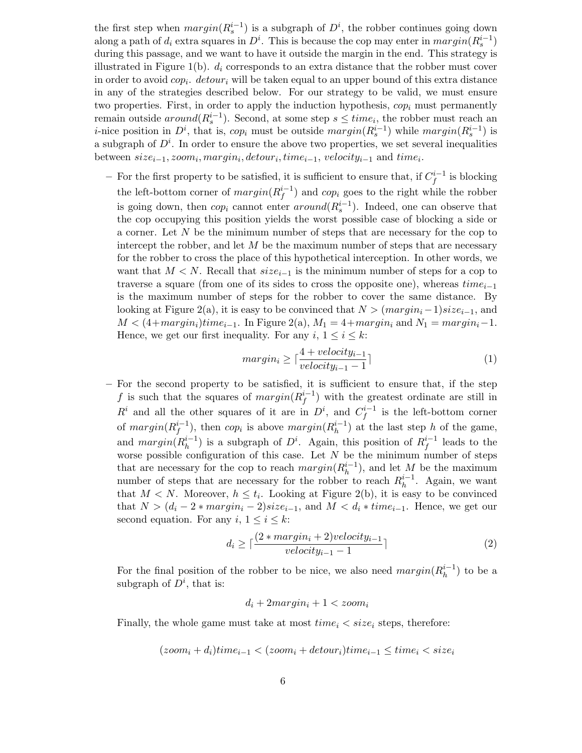the first step when  $margin(R_s^{i-1})$  is a subgraph of  $D^i$ , the robber continues going down along a path of  $d_i$  extra squares in  $D^i$ . This is because the cop may enter in  $margin(R_s^{i-1})$ during this passage, and we want to have it outside the margin in the end. This strategy is illustrated in Figure 1(b).  $d_i$  corresponds to an extra distance that the robber must cover in order to avoid  $cop_i$ .  $detour_i$  will be taken equal to an upper bound of this extra distance in any of the strategies described below. For our strategy to be valid, we must ensure two properties. First, in order to apply the induction hypothesis,  $\text{cop}_i$  must permanently remain outside  $around(R_s^{i-1})$ . Second, at some step  $s \leq time_i$ , the robber must reach an *i*-nice position in  $D^i$ , that is, cop<sub>i</sub> must be outside  $margin(R_s^{i-1})$  while  $margin(R_s^{i-1})$  is a subgraph of  $D^i$ . In order to ensure the above two properties, we set several inequalities between  $size_{i-1}, zoom_i, margin_i, detour_i, time_{i-1}, velocity_{i-1}$  and  $time_i$ .

− For the first property to be satisfied, it is sufficient to ensure that, if  $C_f^{i-1}$  $\int_{f}^{i-1}$  is blocking the left-bottom corner of  $margin(R_f^{i-1})$  $f_f^{i-1}$ ) and *cop<sub>i</sub>* goes to the right while the robber is going down, then  $cop_i$  cannot enter  $around(R_s^{i-1})$ . Indeed, one can observe that the cop occupying this position yields the worst possible case of blocking a side or a corner. Let N be the minimum number of steps that are necessary for the cop to intercept the robber, and let  $M$  be the maximum number of steps that are necessary for the robber to cross the place of this hypothetical interception. In other words, we want that  $M < N$ . Recall that  $size_{i-1}$  is the minimum number of steps for a cop to traverse a square (from one of its sides to cross the opposite one), whereas  $time_{i-1}$ is the maximum number of steps for the robber to cover the same distance. By looking at Figure 2(a), it is easy to be convinced that  $N > (margin_i-1)size_{i-1}$ , and  $M < (4 + margin_i)$ time<sub>i−1</sub>. In Figure 2(a),  $M_1 = 4 + margin_i$  and  $N_1 = margin_i-1$ . Hence, we get our first inequality. For any  $i, 1 \leq i \leq k$ :

$$
margin_i \ge \lceil \frac{4 + velocity_{i-1}}{velocity_{i-1} - 1} \rceil \tag{1}
$$

– For the second property to be satisfied, it is sufficient to ensure that, if the step f is such that the squares of  $margin(R_f^{i-1})$  $f_f^{i-1}$ ) with the greatest ordinate are still in  $R^i$  and all the other squares of it are in  $D^i$ , and  $C_f^{i-1}$  $\int_{f}^{n-1}$  is the left-bottom corner of  $margin(R_f^{i-1})$  $j_f^{i-1}$ ), then  $cop_i$  is above  $margin(R_h^{i-1})$  $\binom{n-1}{h}$  at the last step h of the game, and  $margin(R_h^{i-1})$  $\binom{i-1}{h}$  is a subgraph of  $D^i$ . Again, this position of  $R_f^{i-1}$  $i_f^{-1}$  leads to the worse possible configuration of this case. Let  $N$  be the minimum number of steps that are necessary for the cop to reach  $margin(R_h^{i-1})$  $\binom{n-1}{h}$ , and let M be the maximum number of steps that are necessary for the robber to reach  $R_h^{i-1}$  $h^{-1}$ . Again, we want that  $M < N$ . Moreover,  $h \leq t_i$ . Looking at Figure 2(b), it is easy to be convinced that  $N > (d_i - 2 * margin_i - 2) size_{i-1}$ , and  $M < d_i * time_{i-1}$ . Hence, we get our second equation. For any  $i, 1 \leq i \leq k$ :

$$
d_i \ge \lceil \frac{(2 * margin_i + 2) velocity_{i-1}}{velocity_{i-1} - 1} \rceil
$$
\n(2)

For the final position of the robber to be nice, we also need  $margin(R_h^{i-1})$  $\binom{n-1}{h}$  to be a subgraph of  $D^i$ , that is:

$$
d_i + 2margin_i + 1 < zoom_i
$$

Finally, the whole game must take at most  $time_i < size_i$  steps, therefore:

$$
(zoom_i + d_i) time_{i-1} < (zoom_i + detour_i) time_{i-1} \leq time_i < size_i
$$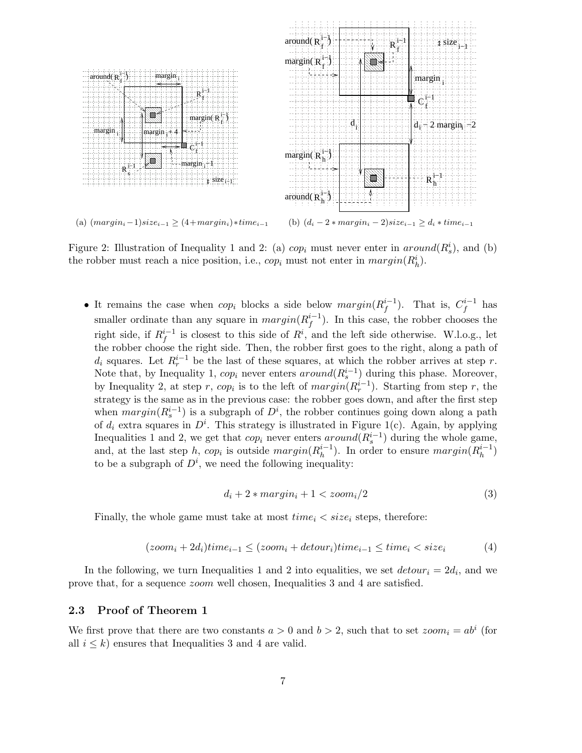

Figure 2: Illustration of Inequality 1 and 2: (a)  $cop_i$  must never enter in  $around(R_s^i)$ , and (b) the robber must reach a nice position, i.e.,  $cop_i$  must not enter in  $margin(R_h^i)$ .

• It remains the case when  $cop_i$  blocks a side below  $margin(R_f^{i-1})$  $j_f^{i-1}$ ). That is,  $C_f^{i-1}$  $f^{i-1}$  has smaller ordinate than any square in  $margin(R_f^{i-1})$  $_{f}^{i-1}$ ). In this case, the robber chooses the right side, if  $R_f^{i-1}$  $i<sup>i-1</sup>$  is closest to this side of  $R<sup>i</sup>$ , and the left side otherwise. W.l.o.g., let the robber choose the right side. Then, the robber first goes to the right, along a path of  $d_i$  squares. Let  $R_r^{i-1}$  be the last of these squares, at which the robber arrives at step r. Note that, by Inequality 1,  $cop_i$  never enters  $around(R_s^{i-1})$  during this phase. Moreover, by Inequality 2, at step r,  $cop_i$  is to the left of  $margin(R_r^{i-1})$ . Starting from step r, the strategy is the same as in the previous case: the robber goes down, and after the first step when  $margin(R_s^{i-1})$  is a subgraph of  $D^i$ , the robber continues going down along a path of  $d_i$  extra squares in  $D^i$ . This strategy is illustrated in Figure 1(c). Again, by applying Inequalities 1 and 2, we get that  $cop_i$  never enters  $around(R_s^{i-1})$  during the whole game, and, at the last step h, cop<sub>i</sub> is outside  $margin(R_h^{i-1})$  $\binom{i-1}{h}$ . In order to ensure  $margin(R_h^{i-1})$  $\binom{i-1}{h}$ to be a subgraph of  $D^i$ , we need the following inequality:

$$
d_i + 2 * margin_i + 1 < zoom_i/2
$$
\n(3)

Finally, the whole game must take at most  $time_i < size_i$  steps, therefore:

$$
(zoom_i + 2d_i) time_{i-1} \le (zoom_i + detour_i) time_{i-1} \le time_i < size_i
$$
 (4)

In the following, we turn Inequalities 1 and 2 into equalities, we set  $detour_i = 2d_i$ , and we prove that, for a sequence zoom well chosen, Inequalities 3 and 4 are satisfied.

### 2.3 Proof of Theorem 1

We first prove that there are two constants  $a > 0$  and  $b > 2$ , such that to set  $zoom_i = ab^i$  (for all  $i \leq k$ ) ensures that Inequalities 3 and 4 are valid.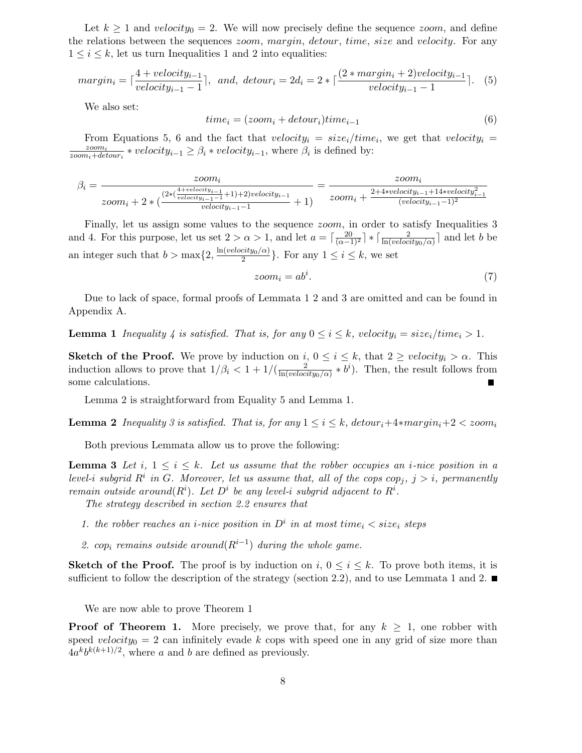Let  $k \geq 1$  and velocity<sub>0</sub> = 2. We will now precisely define the sequence *zoom*, and define the relations between the sequences *zoom, margin, detour, time, size* and *velocity*. For any  $1 \leq i \leq k$ , let us turn Inequalities 1 and 2 into equalities:

$$
margin_i = \lceil \frac{4 + velocity_{i-1}}{velocity_{i-1} - 1} \rceil, \ and, \ detour_i = 2d_i = 2 * \lceil \frac{(2 * margin_i + 2) velocity_{i-1}}{velocity_{i-1} - 1} \rceil. \tag{5}
$$

We also set:

$$
time_i = (zoom_i + detour_i) time_{i-1}
$$
\n
$$
(6)
$$

From Equations 5, 6 and the fact that  $velocity_i = size_i / time_i$ , we get that  $velocity_i =$ zoom<sup>i</sup>  $\frac{zoom_i}{zoom_i+detour_i} * velocity_{i-1} \ge \beta_i * velocity_{i-1}$ , where  $\beta_i$  is defined by:

$$
\beta_i = \frac{zoom_i}{zoom_i + 2 * (\frac{(2 * (\frac{4 + velocity_{i-1}}{velocity_{i-1} - 1} + 1) + 2) velocity_{i-1}}{velocity_{i-1} - 1} + 1)} = \frac{zoom_i}{zoom_i + \frac{2 + 4 * velocity_{i-1} + 14 * velocity_{i-1}^2}{(velocity_{i-1} - 1)^2}}
$$

Finally, let us assign some values to the sequence *zoom*, in order to satisfy Inequalities 3 and 4. For this purpose, let us set  $2 > \alpha > 1$ , and let  $a = \lceil \frac{20}{(\alpha - 1)^2} \rceil * \lceil \frac{2}{\ln (velocity_0/\alpha)} \rceil$  and let b be an integer such that  $b > \max\{2, \frac{\ln(velocity_0/\alpha)}{2}\}$  $\frac{c_{i}log_{o}(\alpha)}{2}$ . For any  $1 \leq i \leq k$ , we set

$$
zoom_i = ab^i. \tag{7}
$$

Due to lack of space, formal proofs of Lemmata 1 2 and 3 are omitted and can be found in Appendix A.

**Lemma 1** Inequality 4 is satisfied. That is, for any  $0 \le i \le k$ , velocity<sub>i</sub> = size<sub>i</sub>/time<sub>i</sub> > 1.

**Sketch of the Proof.** We prove by induction on  $i, 0 \le i \le k$ , that  $2 \ge velocity_i > \alpha$ . This induction allows to prove that  $1/\beta_i < 1 + 1/(\frac{2}{\ln (veloc)})$  $\frac{2}{\ln (velocity_0/\alpha)} * b^i$ . Then, the result follows from some calculations.

Lemma 2 is straightforward from Equality 5 and Lemma 1.

**Lemma 2** Inequality 3 is satisfied. That is, for any  $1 \leq i \leq k$ , detour<sub>i</sub>+4\*margin<sub>i</sub>+2 < zoom<sub>i</sub>

Both previous Lemmata allow us to prove the following:

**Lemma 3** Let i,  $1 \le i \le k$ . Let us assume that the robber occupies an *i*-nice position in a level-i subgrid  $R^i$  in G. Moreover, let us assume that, all of the cops  $cop_j$ ,  $j > i$ , permanently remain outside around $(R<sup>i</sup>)$ . Let  $D<sup>i</sup>$  be any level-i subgrid adjacent to  $R<sup>i</sup>$ .

The strategy described in section 2.2 ensures that

- 1. the robber reaches an *i*-nice position in  $D^i$  in at most time<sub>i</sub>  $\langle$  size<sub>i</sub> steps
- 2. cop<sub>i</sub> remains outside around  $(R^{i-1})$  during the whole game.

**Sketch of the Proof.** The proof is by induction on i,  $0 \leq i \leq k$ . To prove both items, it is sufficient to follow the description of the strategy (section 2.2), and to use Lemmata 1 and 2.

We are now able to prove Theorem 1

**Proof of Theorem 1.** More precisely, we prove that, for any  $k \geq 1$ , one robber with speed velocity<sub>0</sub> = 2 can infinitely evade k cops with speed one in any grid of size more than  $4a^kb^{k(k+1)/2}$ , where a and b are defined as previously.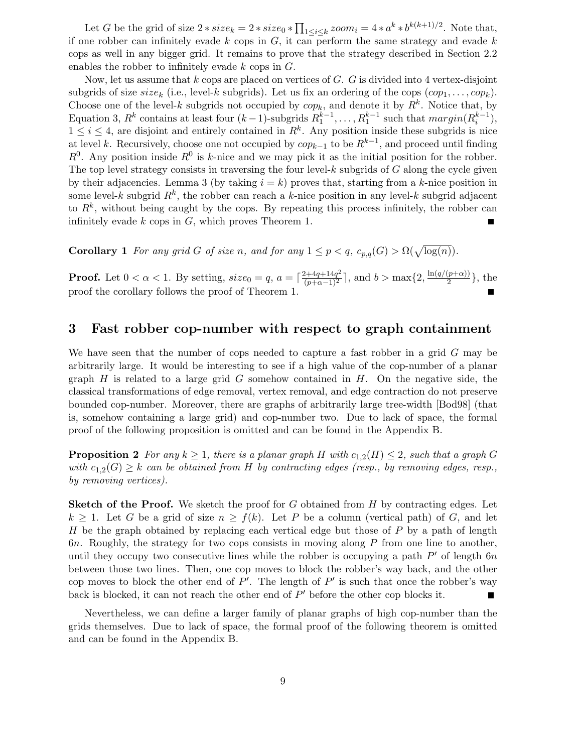Let G be the grid of size  $2 * size_k = 2 * size_0 * \prod_{1 \leq i \leq k} zoom_i = 4 * a^k * b^{k(k+1)/2}$ . Note that, if one robber can infinitely evade  $k$  cops in  $G$ , it can perform the same strategy and evade  $k$ cops as well in any bigger grid. It remains to prove that the strategy described in Section 2.2 enables the robber to infinitely evade k cops in G.

Now, let us assume that  $k$  cops are placed on vertices of  $G$ .  $G$  is divided into 4 vertex-disjoint subgrids of size  $size_k$  (i.e., level-k subgrids). Let us fix an ordering of the cops  $(cop_1, \ldots, cop_k)$ . Choose one of the level-k subgrids not occupied by  $cop_k$ , and denote it by  $R^k$ . Notice that, by Equation 3,  $R^k$  contains at least four  $(k-1)$ -subgrids  $R_1^{k-1}, \ldots, R_1^{k-1}$  such that  $margin(R_i^{k-1}),$  $1 \leq i \leq 4$ , are disjoint and entirely contained in  $R^k$ . Any position inside these subgrids is nice at level k. Recursively, choose one not occupied by  $cop_{k-1}$  to be  $R^{k-1}$ , and proceed until finding  $R^0$ . Any position inside  $R^0$  is k-nice and we may pick it as the initial position for the robber. The top level strategy consists in traversing the four level- $k$  subgrids of  $G$  along the cycle given by their adjacencies. Lemma 3 (by taking  $i = k$ ) proves that, starting from a k-nice position in some level-k subgrid  $R^k$ , the robber can reach a k-nice position in any level-k subgrid adjacent to  $R^k$ , without being caught by the cops. By repeating this process infinitely, the robber can infinitely evade  $k$  cops in  $G$ , which proves Theorem 1. ۳

**Corollary 1** For any grid G of size n, and for any  $1 \leq p < q$ ,  $c_{p,q}(G) > \Omega(\sqrt{\log(n)})$ .

**Proof.** Let  $0 < \alpha < 1$ . By setting,  $size_0 = q$ ,  $a = \lceil \frac{2+4q+14q^2}{(p+\alpha-1)^2} \rceil$ , and  $b > \max\{2, \frac{\ln(q/(p+\alpha))}{2}\}$  $\frac{p+\alpha_{jj}}{2}\},\$  the proof the corollary follows the proof of Theorem 1.

### 3 Fast robber cop-number with respect to graph containment

We have seen that the number of cops needed to capture a fast robber in a grid G may be arbitrarily large. It would be interesting to see if a high value of the cop-number of a planar graph  $H$  is related to a large grid  $G$  somehow contained in  $H$ . On the negative side, the classical transformations of edge removal, vertex removal, and edge contraction do not preserve bounded cop-number. Moreover, there are graphs of arbitrarily large tree-width [Bod98] (that is, somehow containing a large grid) and cop-number two. Due to lack of space, the formal proof of the following proposition is omitted and can be found in the Appendix B.

**Proposition 2** For any  $k \geq 1$ , there is a planar graph H with  $c_{1,2}(H) \leq 2$ , such that a graph G with  $c_{1,2}(G) \geq k$  can be obtained from H by contracting edges (resp., by removing edges, resp., by removing vertices).

**Sketch of the Proof.** We sketch the proof for G obtained from  $H$  by contracting edges. Let  $k \geq 1$ . Let G be a grid of size  $n \geq f(k)$ . Let P be a column (vertical path) of G, and let H be the graph obtained by replacing each vertical edge but those of  $P$  by a path of length 6n. Roughly, the strategy for two cops consists in moving along  $P$  from one line to another, until they occupy two consecutive lines while the robber is occupying a path  $P'$  of length  $6n$ between those two lines. Then, one cop moves to block the robber's way back, and the other cop moves to block the other end of  $P'$ . The length of  $P'$  is such that once the robber's way back is blocked, it can not reach the other end of  $P'$  before the other cop blocks it.

Nevertheless, we can define a larger family of planar graphs of high cop-number than the grids themselves. Due to lack of space, the formal proof of the following theorem is omitted and can be found in the Appendix B.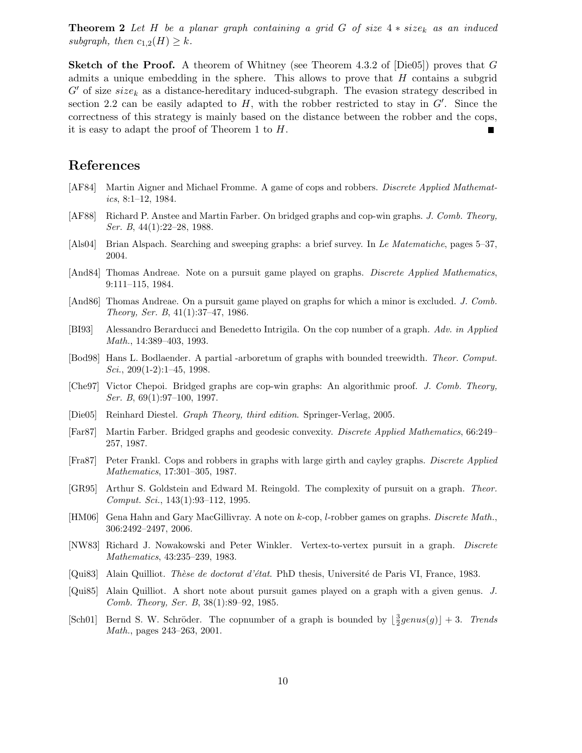**Theorem 2** Let H be a planar graph containing a grid G of size  $4 * size_k$  as an induced subgraph, then  $c_{1,2}(H) \geq k$ .

**Sketch of the Proof.** A theorem of Whitney (see Theorem 4.3.2 of  $[Die05]$ ) proves that G admits a unique embedding in the sphere. This allows to prove that  $H$  contains a subgrid  $G'$  of size  $size_k$  as a distance-hereditary induced-subgraph. The evasion strategy described in section 2.2 can be easily adapted to  $H$ , with the robber restricted to stay in  $G'$ . Since the correctness of this strategy is mainly based on the distance between the robber and the cops, it is easy to adapt the proof of Theorem 1 to H.

## References

- [AF84] Martin Aigner and Michael Fromme. A game of cops and robbers. Discrete Applied Mathematics, 8:1–12, 1984.
- [AF88] Richard P. Anstee and Martin Farber. On bridged graphs and cop-win graphs. J. Comb. Theory, Ser. B, 44(1):22–28, 1988.
- [Als04] Brian Alspach. Searching and sweeping graphs: a brief survey. In Le Matematiche, pages 5–37, 2004.
- [And84] Thomas Andreae. Note on a pursuit game played on graphs. *Discrete Applied Mathematics*, 9:111–115, 1984.
- [And86] Thomas Andreae. On a pursuit game played on graphs for which a minor is excluded. J. Comb. Theory, Ser. B, 41(1):37–47, 1986.
- [BI93] Alessandro Berarducci and Benedetto Intrigila. On the cop number of a graph. Adv. in Applied Math., 14:389–403, 1993.
- [Bod98] Hans L. Bodlaender. A partial -arboretum of graphs with bounded treewidth. Theor. Comput.  $Sci., 209(1-2):1-45, 1998.$
- [Che97] Victor Chepoi. Bridged graphs are cop-win graphs: An algorithmic proof. J. Comb. Theory, Ser. B, 69(1):97–100, 1997.
- [Die05] Reinhard Diestel. Graph Theory, third edition. Springer-Verlag, 2005.
- [Far87] Martin Farber. Bridged graphs and geodesic convexity. Discrete Applied Mathematics, 66:249– 257, 1987.
- [Fra87] Peter Frankl. Cops and robbers in graphs with large girth and cayley graphs. Discrete Applied Mathematics, 17:301–305, 1987.
- [GR95] Arthur S. Goldstein and Edward M. Reingold. The complexity of pursuit on a graph. Theor. Comput. Sci., 143(1):93–112, 1995.
- [HM06] Gena Hahn and Gary MacGillivray. A note on k-cop, l-robber games on graphs. Discrete Math., 306:2492–2497, 2006.
- [NW83] Richard J. Nowakowski and Peter Winkler. Vertex-to-vertex pursuit in a graph. Discrete Mathematics, 43:235–239, 1983.
- [Qui83] Alain Quilliot. Thèse de doctorat d'état. PhD thesis, Université de Paris VI, France, 1983.
- [Qui85] Alain Quilliot. A short note about pursuit games played on a graph with a given genus. J. Comb. Theory, Ser. B, 38(1):89–92, 1985.
- [Sch01] Bernd S. W. Schröder. The copnumber of a graph is bounded by  $\left\lfloor \frac{3}{2}genus(g) \right\rfloor + 3$ . Trends Math., pages 243–263, 2001.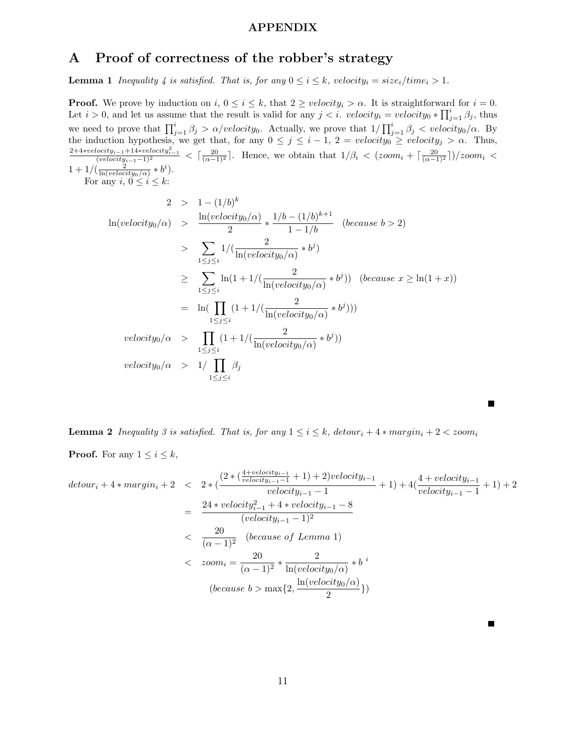### APPENDIX

# A Proof of correctness of the robber's strategy

**Lemma 1** Inequality 4 is satisfied. That is, for any  $0 \le i \le k$ , velocity<sub>i</sub> = size<sub>i</sub>/time<sub>i</sub> > 1.

**Proof.** We prove by induction on  $i, 0 \le i \le k$ , that  $2 \ge velocity_i > \alpha$ . It is straightforward for  $i = 0$ . Let  $i > 0$ , and let us assume that the result is valid for any  $j < i$ . velocity<sub>i</sub> = velocity<sub>0</sub> \*  $\prod_{j=1}^{i} \beta_j$ , thus we need to prove that  $\prod_{j=1}^{i} \beta_j > \alpha/velocity_0$ . Actually, we prove that  $1/\prod_{j=1}^{i} \beta_j < velocity_0/\alpha$ . By the induction hypothesis, we get that, for any  $0 \le j \le i - 1$ ,  $2 = velocity_0 \ge velocity_j > \alpha$ . Thus,  $\frac{2+4*velocity_{i-1}+14*velocity_{i-1}^2}{(velocity_{i-1}-1)^2}$  <  $\lceil \frac{20}{(\alpha-1)^2} \rceil$ . Hence, we obtain that  $1/\beta_i < (zoom_i + \lceil \frac{20}{(\alpha-1)^2} \rceil)/zoom_i <$  $1 + 1/(\frac{2}{\ln(velociety_0/\alpha)} * b^i).$ 

For any  $i, 0 \leq i \leq k$ :

$$
2 > 1 - (1/b)^{k}
$$
  
\n
$$
\ln(velocity_0/\alpha) > \frac{\ln(velocity_0/\alpha)}{2} * \frac{1/b - (1/b)^{k+1}}{1 - 1/b} \quad (because \ b > 2)
$$
  
\n
$$
> \sum_{1 \le j \le i} 1 / (\frac{2}{\ln(velocity_0/\alpha)} * b^{j})
$$
  
\n
$$
\ge \sum_{1 \le j \le i} \ln(1 + 1 / (\frac{2}{\ln(velocity_0/\alpha)} * b^{j})) \quad (because \ x \ge \ln(1 + x))
$$
  
\n
$$
= \ln(\prod_{1 \le j \le i} (1 + 1 / (\frac{2}{\ln(velocity_0/\alpha)} * b^{j})))
$$
  
\n
$$
velocity_0/\alpha > \prod_{1 \le j \le i} (1 + 1 / (\frac{2}{\ln(velocity_0/\alpha)} * b^{j}))
$$
  
\n
$$
velocity_0/\alpha > 1 / \prod_{1 \le j \le i} \beta_j
$$

**Lemma 2** Inequality 3 is satisfied. That is, for any  $1 \leq i \leq k$ , detour<sub>i</sub> + 4  $*$  margin<sub>i</sub> + 2 < zoom<sub>i</sub>

**Proof.** For any  $1 \leq i \leq k$ ,

$$
detour_i + 4 * margin_i + 2 < 2 * (\frac{(2 * (\frac{4 + velocity_{i-1}}{velocity_{i-1} - 1} + 1) + 2) velocity_{i-1}}{velocity_{i-1} - 1} + 1) + 4(\frac{4 + velocity_{i-1}}{velocity_{i-1} - 1} + 1) + 2
$$
\n
$$
= \frac{24 * velocity_{i-1}^2 + 4 * velocity_{i-1} - 8}{(velocity_{i-1} - 1)^2}
$$
\n
$$
< \frac{20}{(\alpha - 1)^2} \quad \text{(because of Lemma 1)}
$$
\n
$$
< \text{zoom}_i = \frac{20}{(\alpha - 1)^2} * \frac{2}{\ln(\text{velocity}_0/\alpha)} * b^i
$$
\n
$$
\text{(because } b > \max\{2, \frac{\ln(\text{velocity}_0/\alpha)}{2}\}\text{)}
$$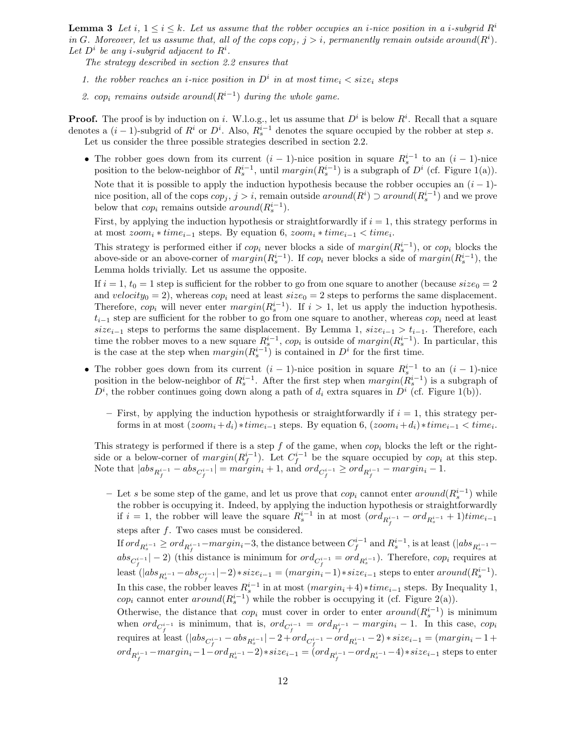**Lemma 3** Let i,  $1 \leq i \leq k$ . Let us assume that the robber occupies an *i*-nice position in a *i*-subgrid  $R<sup>i</sup>$ in G. Moreover, let us assume that, all of the cops  $cop_j$ ,  $j > i$ , permanently remain outside around( $R^i$ ). Let  $D^i$  be any *i*-subgrid adjacent to  $R^i$ .

The strategy described in section 2.2 ensures that

- 1. the robber reaches an *i*-nice position in  $D^i$  in at most time<sub>i</sub>  $\langle$  size<sub>i</sub> steps
- 2. cop<sub>i</sub> remains outside around  $(R^{i-1})$  during the whole game.

**Proof.** The proof is by induction on i. W.l.o.g., let us assume that  $D^i$  is below  $R^i$ . Recall that a square denotes a  $(i-1)$ -subgrid of  $R^i$  or  $D^i$ . Also,  $R_s^{i-1}$  denotes the square occupied by the robber at step s. Let us consider the three possible strategies described in section 2.2.

• The robber goes down from its current  $(i - 1)$ -nice position in square  $R_s^{i-1}$  to an  $(i - 1)$ -nice position to the below-neighbor of  $R_s^{i-1}$ , until  $margin(R_s^{i-1})$  is a subgraph of  $D^i$  (cf. Figure 1(a)). Note that it is possible to apply the induction hypothesis because the robber occupies an  $(i - 1)$ nice position, all of the cops  $cop_j$ ,  $j > i$ , remain outside  $around(R^i) \supset around(R_s^{i-1})$  and we prove below that  $cop_i$  remains outside  $around(R_s^{i-1})$ .

First, by applying the induction hypothesis or straightforwardly if  $i = 1$ , this strategy performs in at most  $zoom_i * time_{i-1}$  steps. By equation 6,  $zoom_i * time_{i-1} < time_i$ .

This strategy is performed either if  $cop_i$  never blocks a side of  $margin(R_s^{i-1})$ , or  $cop_i$  blocks the above-side or an above-corner of  $margin(R_s^{i-1})$ . If  $cop_i$  never blocks a side of  $margin(R_s^{i-1})$ , the Lemma holds trivially. Let us assume the opposite.

If  $i = 1$ ,  $t_0 = 1$  step is sufficient for the robber to go from one square to another (because  $size_0 = 2$ and velocity<sub>0</sub> = 2), whereas cop<sub>i</sub> need at least  $size_0 = 2$  steps to performs the same displacement. Therefore,  $cop_i$  will never enter  $margin(R_s^{i-1})$ . If  $i > 1$ , let us apply the induction hypothesis.  $t_{i-1}$  step are sufficient for the robber to go from one square to another, whereas cop<sub>i</sub> need at least size<sub>i−1</sub> steps to performs the same displacement. By Lemma 1,  $size_{i-1} > t_{i-1}$ . Therefore, each time the robber moves to a new square  $R_s^{i-1}$ , cop<sub>i</sub> is outside of  $margin(R_s^{i-1})$ . In particular, this is the case at the step when  $margin(R_s^{i-1})$  is contained in  $D<sup>i</sup>$  for the first time.

- The robber goes down from its current  $(i 1)$ -nice position in square  $R_s^{i-1}$  to an  $(i 1)$ -nice position in the below-neighbor of  $R_s^{i-1}$ . After the first step when  $margin(R_s^{i-1})$  is a subgraph of  $D^i$ , the robber continues going down along a path of  $d_i$  extra squares in  $D^i$  (cf. Figure 1(b)).
	- First, by applying the induction hypothesis or straightforwardly if  $i = 1$ , this strategy performs in at most  $(zoom_i + d_i) * time_{i-1}$  steps. By equation 6,  $(zoom_i + d_i) * time_{i-1} < time_i$ .

This strategy is performed if there is a step  $f$  of the game, when  $cop_i$  blocks the left or the rightside or a below-corner of  $margin(R_f^{i-1})$ . Let  $C_f^{i-1}$  be the square occupied by  $cop_i$  at this step. Note that  $|abs_{R_f^{i-1}} - abs_{C_f^{i-1}}| = margin_i + 1$ , and  $ord_{C_f^{i-1}} \geq ord_{R_f^{i-1}} - margin_i - 1$ .

– Let s be some step of the game, and let us prove that  $cop_i$  cannot enter  $around(R_s^{i-1})$  while the robber is occupying it. Indeed, by applying the induction hypothesis or straightforwardly if  $i = 1$ , the robber will leave the square  $R_s^{i-1}$  in at most  $(ord_{R_f^{i-1}} - ord_{R_s^{i-1}} + 1)$ time<sub>i-1</sub> steps after  $f$ . Two cases must be considered.

If  $ord_{R_s^{i-1}} \geq ord_{R_f^{i-1}} - margin_i-3$ , the distance between  $C_f^{i-1}$  and  $R_s^{i-1}$ , is at least  $(|abs_{R_s^{i-1}}$  $abs_{C_f^{i-1}}|-2)$  (this distance is minimum for  $ord_{C_f^{i-1}} = ord_{R_s^{i-1}})$ . Therefore,  $cop_i$  requires at least  $(|abs_{R_s^{i-1}} - abs_{C_f^{i-1}}| - 2) * size_{i-1} = (margin_i - 1) * size_{i-1}$  steps to enter  $around(R_s^{i-1})$ . In this case, the robber leaves  $R_s^{i-1}$  in at most  $(margin_i+4) * time_{i-1}$  steps. By Inequality 1, cop<sub>i</sub> cannot enter  $around(R_s^{i-1})$  while the robber is occupying it (cf. Figure 2(a)). Otherwise, the distance that  $cop_i$  must cover in order to enter  $around(R_s^{i-1})$  is minimum

when  $ord_{C_f^{i-1}}$  is minimum, that is,  $ord_{C_f^{i-1}} = ord_{R_f^{i-1}} - margin_i - 1$ . In this case,  $cop_i$  $\text{requires at least } ( | abs_{C_f^{i-1}} - abs_{R^{i-1}_s} | -2 + ord_{C_f^{i-1}} - ord_{R^{i-1}_s} -2) * size_{i-1} = (margin_i -1 +$  $ord_{R_f^{i-1}} - margin_i-1 - ord_{R_s^{i-1}} - 2)*size_{i-1} = (ord_{R_f^{i-1}} - ord_{R_s^{i-1}} - 4)*size_{i-1}$  steps to enter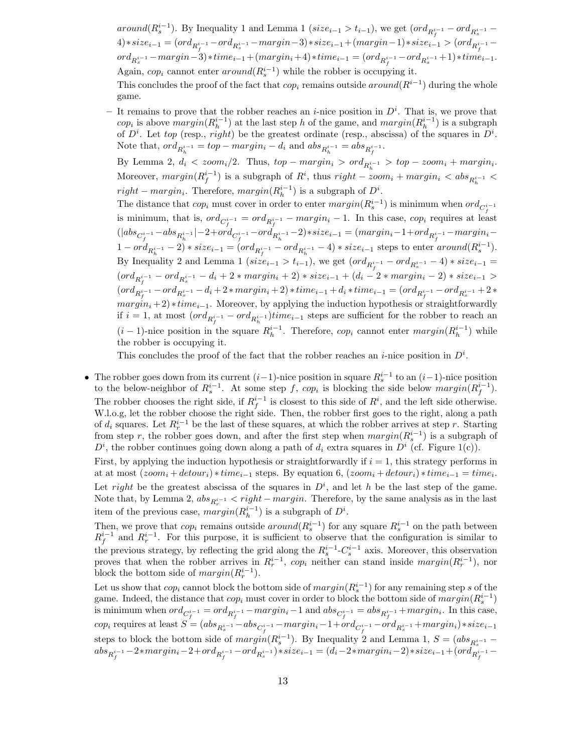around( $R_s^{i-1}$ ). By Inequality 1 and Lemma 1 (size<sub>i-1</sub> > t<sub>i-1</sub>), we get (ord<sub> $R_s^{i-1}$ </sub> - ord<sub> $R_s^{i-1}$ </sub> - $\begin{split} \mathcal{A}) * size_{i-1} = (ord_{R^{i-1}_f} - ord_{R^{i-1}_s} - margin - 3) * size_{i-1} + (margin - 1) * size_{i-1} > (ord_{R^{i-1}_f} - 1) \end{split}$  ${\it ord}_{R^{i-1}_{s}}-{\it margin-3}) * time_{i-1} + ({\it margin}_i+4) * time_{i-1} = ({\it ord}_{R^{i-1}_{f}}-{\it ord}_{R^{i-1}_{s}}+1) * time_{i-1}.$ Again,  $cop_i$  cannot enter  $around(R_s^{i-1})$  while the robber is occupying it.

This concludes the proof of the fact that  $cop_i$  remains outside  $around(R^{i-1})$  during the whole game.

- It remains to prove that the robber reaches an *i*-nice position in  $D^i$ . That is, we prove that cop<sub>i</sub> is above  $margin(R_h^{i-1})$  at the last step h of the game, and  $margin(R_h^{i-1})$  is a subgraph of  $D^i$ . Let top (resp., right) be the greatest ordinate (resp., abscissa) of the squares in  $D^i$ . Note that,  $\operatorname{ord}_{R_h^{i-1}} = \operatorname{top} - \operatorname{margin}_i - d_i$  and  $\operatorname{abs}_{R_h^{i-1}} = \operatorname{abs}_{R_f^{i-1}}$ .

By Lemma 2,  $d_i < zoom_i/2$ . Thus,  $top - margin_i > ord_{R_h^{i-1}} > top - zoom_i + margin_i$ . Moreover,  $margin(R_f^{i-1})$  is a subgraph of  $R^i$ , thus  $right - zoom_i + margin_i < abs_{R_h^{i-1}} <$  $right - margin_i$ . Therefore,  $margin(R_h^{i-1})$  is a subgraph of  $D^i$ .

The distance that  $cop_i$  must cover in order to enter  $margin(R_s^{i-1})$  is minimum when  $ord_{C_f^{i-1}}$ is minimum, that is,  $ord_{C_f^{i-1}} = ord_{R_f^{i-1}} - margin_i - 1$ . In this case,  $cop_i$  requires at least  $(|abs_{C_f^{i-1}} - abs_{R_h^{i-1}}| - 2 + ord_{C_f^{i-1}} - ord_{R_h^{i-1}} - 2) * size_{i-1} = (margin_i - 1 + ord_{R_f^{i-1}} - margin_i 1 - ord_{R_h^{i-1}} - 2) * size_{i-1} = (ord_{R_f^{i-1}} - ord_{R_h^{i-1}} - 4) * size_{i-1}$  steps to enter  $around(R_s^{i-1})$ . By Inequality 2 and Lemma 1 ( $size_{i-1} > t_{i-1}$ ), we get  $(ord_{R_f^{i-1}} - ord_{R_s^{i-1}} - 4) * size_{i-1} =$  $(ord_{R_f^{i-1}} - ord_{R_s^{i-1}} - d_i + 2 * margin_i + 2) * size_{i-1} + (d_i - 2 * margin_i - 2) * size_{i-1} >$  $(ord_{R^{i-1}_f} - ord_{R^{i-1}_s} - d_i + 2 * margin_i + 2) * time_{i-1} + d_i * time_{i-1} = (ord_{R^{i-1}_f} - ord_{R^{i-1}_s} + 2 *$  $margin_i + 2) * time_{i-1}$ . Moreover, by applying the induction hypothesis or straightforwardly if  $i = 1$ , at most  $(ord_{R_f^{i-1}} - ord_{R_h^{i-1}})$ time<sub>i-1</sub> steps are sufficient for the robber to reach an  $(i-1)$ -nice position in the square  $R_h^{i-1}$ . Therefore,  $cop_i$  cannot enter  $margin(R_h^{i-1})$  while the robber is occupying it.

This concludes the proof of the fact that the robber reaches an *i*-nice position in  $D^i$ .

• The robber goes down from its current  $(i-1)$ -nice position in square  $R_s^{i-1}$  to an  $(i-1)$ -nice position to the below-neighbor of  $R_s^{i-1}$ . At some step f, cop<sub>i</sub> is blocking the side below  $margin(R_f^{i-1})$ . The robber chooses the right side, if  $R_f^{i-1}$  is closest to this side of  $R^i$ , and the left side otherwise. W.l.o.g, let the robber choose the right side. Then, the robber first goes to the right, along a path of  $d_i$  squares. Let  $R_r^{i-1}$  be the last of these squares, at which the robber arrives at step r. Starting from step r, the robber goes down, and after the first step when  $margin(R_s^{i-1})$  is a subgraph of  $D^i$ , the robber continues going down along a path of  $d_i$  extra squares in  $D^i$  (cf. Figure 1(c)).

First, by applying the induction hypothesis or straightforwardly if  $i = 1$ , this strategy performs in at at most  $(zoom_i + detour_i) * time_{i-1}$  steps. By equation 6,  $(zoom_i + detour_i) * time_{i-1} = time_i$ . Let right be the greatest abscissa of the squares in  $D^i$ , and let h be the last step of the game. Note that, by Lemma 2,  $abs_{R_r^{i-1}} < right - margin$ . Therefore, by the same analysis as in the last item of the previous case,  $margin(R_h^{i-1})$  is a subgraph of  $D^i$ .

Then, we prove that  $cop_i$  remains outside  $around(R_s^{i-1})$  for any square  $R_s^{i-1}$  on the path between  $R_f^{i-1}$  and  $R_r^{i-1}$ . For this purpose, it is sufficient to observe that the configuration is similar to the previous strategy, by reflecting the grid along the  $R_s^{i-1}$ - $C_s^{i-1}$  axis. Moreover, this observation proves that when the robber arrives in  $R_r^{i-1}$ , cop<sub>i</sub> neither can stand inside margin( $R_r^{i-1}$ ), nor block the bottom side of  $margin(R_r^{i-1})$ .

Let us show that  $cop_i$  cannot block the bottom side of  $margin(R_s^{i-1})$  for any remaining step s of the game. Indeed, the distance that  $cop_i$  must cover in order to block the bottom side of  $margin(R_s^{i-1})$ is minimum when  $ord_{C_f^{i-1}} = ord_{R_f^{i-1}} - margin_i - 1$  and  $abs_{C_f^{i-1}} = abs_{R_f^{i-1}} + margin_i$ . In this case,  $cop_i$  requires at least  $S = (abs_{R_s^{i-1}} - abs_{C_f^{i-1}} - margin_i - 1 + ord_{C_f^{i-1}} - ord_{R_s^{i-1}} + margin_i) * size_{i-1}$ steps to block the bottom side of  $margin(R_s^{i-1})$ . By Inequality 2 and Lemma 1,  $S = (abs_{R_s^{i-1}}$  $abs_{R_f^{i-1}} - 2*margin_i - 2 + ord_{R_f^{i-1}} - ord_{R_s^{i-1}}) * size_{i-1} = (d_i - 2*margin_i - 2) * size_{i-1} + (ord_{R_f^{i-1}}^{R_s} - 1) * size_{i-1}) * size_{i-1}$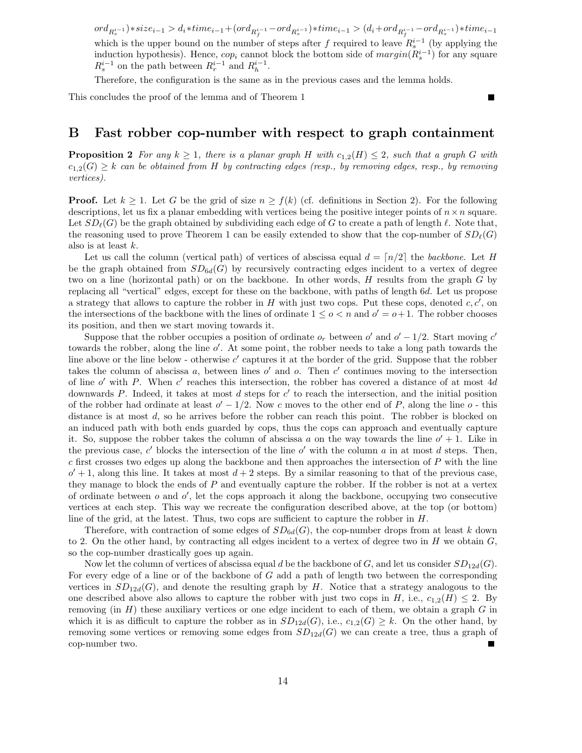${\rm ord}_{R^{i-1}_s}) * size_{i-1} > d_i * time_{i-1} + ({\rm ord}_{R^{i-1}_f} - {\rm ord}_{R^{i-1}_s}) * time_{i-1} > (d_i + {\rm ord}_{R^{i-1}_f} - {\rm ord}_{R^{i-1}_s}) * time_{i-1}$ which is the upper bound on the number of steps after f required to leave  $R_s^{i-1}$  (by applying the induction hypothesis). Hence,  $cop_i$  cannot block the bottom side of  $margin(R_s^{i-1})$  for any square  $R_s^{i-1}$  on the path between  $R_r^{i-1}$  and  $R_h^{i-1}$ .

Therefore, the configuration is the same as in the previous cases and the lemma holds.

This concludes the proof of the lemma and of Theorem 1

## B Fast robber cop-number with respect to graph containment

**Proposition 2** For any  $k \geq 1$ , there is a planar graph H with  $c_{1,2}(H) \leq 2$ , such that a graph G with  $c_{1,2}(G) \geq k$  can be obtained from H by contracting edges (resp., by removing edges, resp., by removing vertices).

**Proof.** Let  $k \geq 1$ . Let G be the grid of size  $n \geq f(k)$  (cf. definitions in Section 2). For the following descriptions, let us fix a planar embedding with vertices being the positive integer points of  $n \times n$  square. Let  $SD_{\ell}(G)$  be the graph obtained by subdividing each edge of G to create a path of length  $\ell$ . Note that, the reasoning used to prove Theorem 1 can be easily extended to show that the cop-number of  $SD_{\ell}(G)$ also is at least k.

Let us call the column (vertical path) of vertices of abscissa equal  $d = \lfloor n/2 \rfloor$  the backbone. Let H be the graph obtained from  $SD<sub>6d</sub>(G)$  by recursively contracting edges incident to a vertex of degree two on a line (horizontal path) or on the backbone. In other words, H results from the graph G by replacing all "vertical" edges, except for these on the backbone, with paths of length 6d. Let us propose a strategy that allows to capture the robber in  $H$  with just two cops. Put these cops, denoted  $c, c'$ , on the intersections of the backbone with the lines of ordinate  $1 \leq o < n$  and  $o' = o + 1$ . The robber chooses its position, and then we start moving towards it.

Suppose that the robber occupies a position of ordinate  $o_r$  between  $o'$  and  $o' - 1/2$ . Start moving  $c'$ towards the robber, along the line o'. At some point, the robber needs to take a long path towards the line above or the line below - otherwise  $c'$  captures it at the border of the grid. Suppose that the robber takes the column of abscissa  $a$ , between lines  $o'$  and  $o$ . Then  $c'$  continues moving to the intersection of line  $o'$  with P. When  $c'$  reaches this intersection, the robber has covered a distance of at most 4d downwards  $P$ . Indeed, it takes at most  $d$  steps for  $c'$  to reach the intersection, and the initial position of the robber had ordinate at least  $o' - 1/2$ . Now c moves to the other end of P, along the line o - this distance is at most d, so he arrives before the robber can reach this point. The robber is blocked on an induced path with both ends guarded by cops, thus the cops can approach and eventually capture it. So, suppose the robber takes the column of abscissa a on the way towards the line  $o' + 1$ . Like in the previous case,  $c'$  blocks the intersection of the line  $o'$  with the column  $a$  in at most  $d$  steps. Then, c first crosses two edges up along the backbone and then approaches the intersection of P with the line  $o' + 1$ , along this line. It takes at most  $d + 2$  steps. By a similar reasoning to that of the previous case, they manage to block the ends of P and eventually capture the robber. If the robber is not at a vertex of ordinate between  $o$  and  $o'$ , let the cops approach it along the backbone, occupying two consecutive vertices at each step. This way we recreate the configuration described above, at the top (or bottom) line of the grid, at the latest. Thus, two cops are sufficient to capture the robber in  $H$ .

Therefore, with contraction of some edges of  $SD_{6d}(G)$ , the cop-number drops from at least k down to 2. On the other hand, by contracting all edges incident to a vertex of degree two in  $H$  we obtain  $G$ , so the cop-number drastically goes up again.

Now let the column of vertices of abscissa equal d be the backbone of G, and let us consider  $SD_{12d}(G)$ . For every edge of a line or of the backbone of G add a path of length two between the corresponding vertices in  $SD_{12d}(G)$ , and denote the resulting graph by H. Notice that a strategy analogous to the one described above also allows to capture the robber with just two cops in H, i.e.,  $c_{1,2}(H) \leq 2$ . By removing (in  $H$ ) these auxiliary vertices or one edge incident to each of them, we obtain a graph  $G$  in which it is as difficult to capture the robber as in  $SD_{12d}(G)$ , i.e.,  $c_{1,2}(G) \geq k$ . On the other hand, by removing some vertices or removing some edges from  $SD<sub>12d</sub>(G)$  we can create a tree, thus a graph of cop-number two.